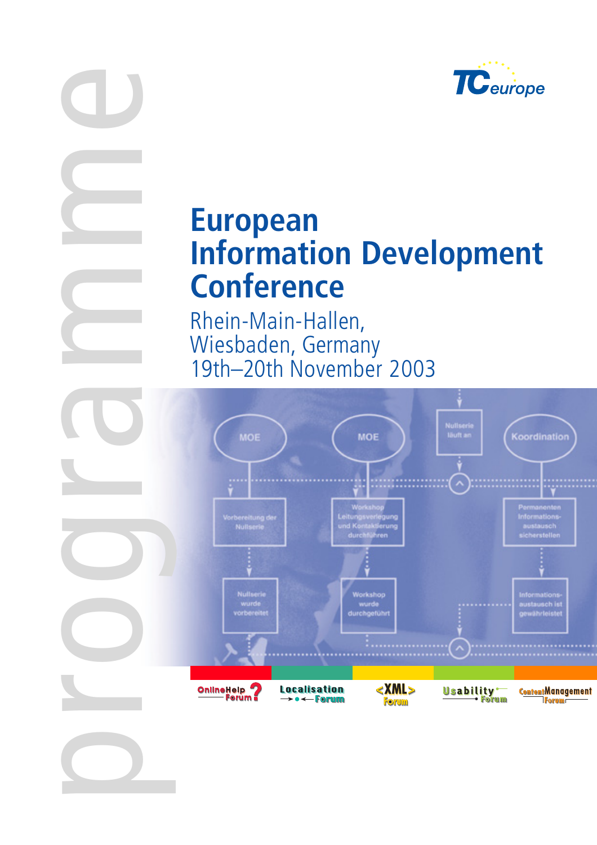

# **European Information Development Conference**

Rhein-Main-Hallen, Wiesbaden, Germany 19th–20th November 2003

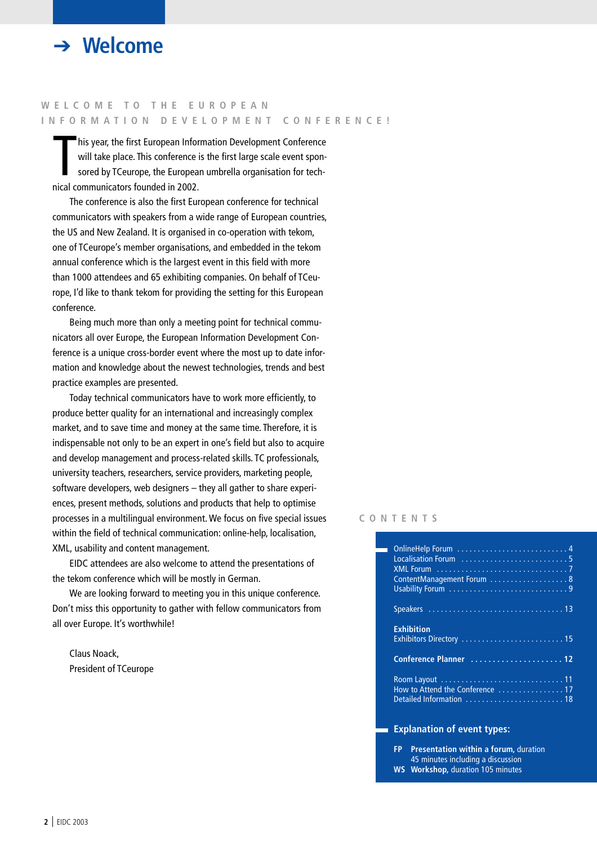

### **WELCOME TO THE EUROPEAN INFORMATION DEVELOPMENT CONFERENCE!**

his year, the first European Infor<br>will take place. This conference<br>sored by TCeurope, the Europea<br>nical communicators founded in 2002. his year, the first European Information Development Conference will take place. This conference is the first large scale event sponsored by TCeurope, the European umbrella organisation for tech-

The conference is also the first European conference for technical communicators with speakers from a wide range of European countries, the US and New Zealand. It is organised in co-operation with tekom, one of TCeurope's member organisations, and embedded in the tekom annual conference which is the largest event in this field with more than 1000 attendees and 65 exhibiting companies. On behalf of TCeurope, I'd like to thank tekom for providing the setting for this European conference.

Being much more than only a meeting point for technical communicators all over Europe, the European Information Development Conference is a unique cross-border event where the most up to date information and knowledge about the newest technologies, trends and best practice examples are presented.

Today technical communicators have to work more efficiently, to produce better quality for an international and increasingly complex market, and to save time and money at the same time. Therefore, it is indispensable not only to be an expert in one's field but also to acquire and develop management and process-related skills. TC professionals, university teachers, researchers, service providers, marketing people, software developers, web designers – they all gather to share experiences, present methods, solutions and products that help to optimise processes in a multilingual environment. We focus on five special issues within the field of technical communication: online-help, localisation, XML, usability and content management.

EIDC attendees are also welcome to attend the presentations of the tekom conference which will be mostly in German.

We are looking forward to meeting you in this unique conference. Don't miss this opportunity to gather with fellow communicators from all over Europe. It's worthwhile!

Claus Noack, President of TCeurope

#### **CONTENTS**

| ContentManagement Forum  8      |
|---------------------------------|
|                                 |
| <b>Exhibition</b>               |
|                                 |
| How to Attend the Conference 17 |

#### **Explanation of event types:**

**FP Presentation within a forum,** duration 45 minutes including a discussion **WS Workshop,** duration 105 minutes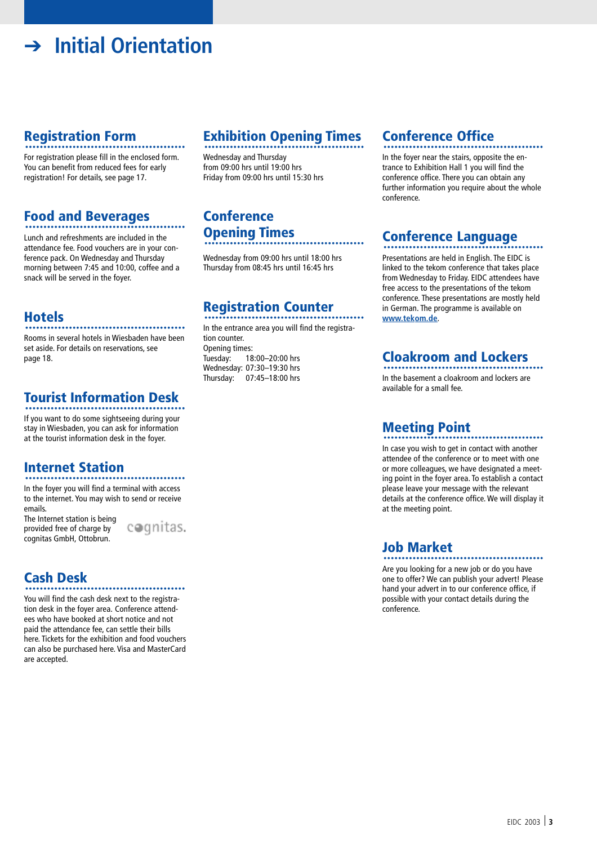# ➔ **Initial Orientation**

### **Registration Form**

For registration please fill in the enclosed form. You can benefit from reduced fees for early registration! For details, see page 17.

# **Food and Beverages** ............................................

Lunch and refreshments are included in the attendance fee. Food vouchers are in your conference pack. On Wednesday and Thursday morning between 7:45 and 10:00, coffee and a snack will be served in the foyer.

**Hotels** ............................................ Rooms in several hotels in Wiesbaden have been set aside. For details on reservations, see page 18.

# **Tourist Information Desk** ............................................

If you want to do some sightseeing during your stay in Wiesbaden, you can ask for information at the tourist information desk in the foyer.

# **Internet Station** ............................................

In the foyer you will find a terminal with access to the internet. You may wish to send or receive emails.

The Internet station is being provided free of charge by cognitas GmbH, Ottobrun.

cognitas.

**Cash Desk** ............................................

You will find the cash desk next to the registration desk in the foyer area. Conference attendees who have booked at short notice and not paid the attendance fee, can settle their bills here. Tickets for the exhibition and food vouchers can also be purchased here. Visa and MasterCard are accepted.

# **Exhibition Opening Times** ............................................

Wednesday and Thursday from 09:00 hrs until 19:00 hrs Friday from 09:00 hrs until 15:30 hrs

### **Conference Opening Times** ............................................

Wednesday from 09:00 hrs until 18:00 hrs Thursday from 08:45 hrs until 16:45 hrs

# **Registration Counter** ............................................

In the entrance area you will find the registration counter. Opening times:<br>Tuesday: 18 18:00-20:00 hrs Wednesday: 07:30–19:30 hrs Thursday: 07:45–18:00 hrs

# **Conference Office** ............................................

In the foyer near the stairs, opposite the entrance to Exhibition Hall 1 you will find the conference office. There you can obtain any further information you require about the whole conference.

# **Conference Language** ............................................

Presentations are held in English. The EIDC is linked to the tekom conference that takes place from Wednesday to Friday. EIDC attendees have free access to the presentations of the tekom conference. These presentations are mostly held in German. The programme is available on **www.tekom.de**.

## **Cloakroom and Lockers** ............................................

In the basement a cloakroom and lockers are available for a small fee.

# **Meeting Point** ............................................

In case you wish to get in contact with another attendee of the conference or to meet with one or more colleagues, we have designated a meeting point in the foyer area. To establish a contact please leave your message with the relevant details at the conference office. We will display it at the meeting point.

## **Job Market** ............................................

Are you looking for a new job or do you have one to offer? We can publish your advert! Please hand your advert in to our conference office, if possible with your contact details during the conference.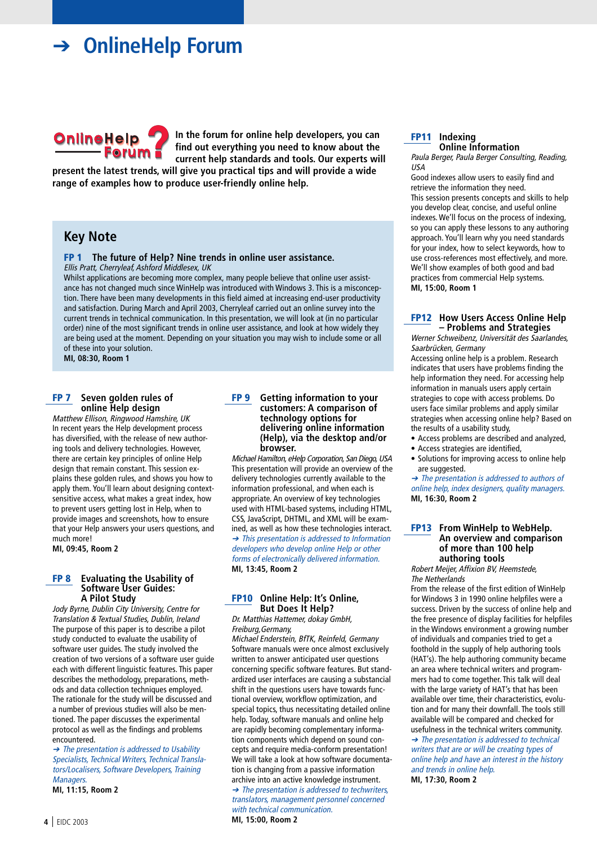### ➔ **OnlineHelp Forum**



**In the forum for online help developers, you can find out everything you need to know about the current help standards and tools. Our experts will**

**present the latest trends, will give you practical tips and will provide a wide range of examples how to produce user-friendly online help.**

### **Key Note**

**FP 1 The future of Help? Nine trends in online user assistance.** Ellis Pratt, Cherryleaf, Ashford Middlesex, UK

Whilst applications are becoming more complex, many people believe that online user assistance has not changed much since WinHelp was introduced with Windows 3. This is a misconception. There have been many developments in this field aimed at increasing end-user productivity and satisfaction. During March and April 2003, Cherryleaf carried out an online survey into the current trends in technical communication. In this presentation, we will look at (in no particular order) nine of the most significant trends in online user assistance, and look at how widely they are being used at the moment. Depending on your situation you may wish to include some or all of these into your solution.

**MI, 08:30, Room 1**

#### **FP 7 Seven golden rules of online Help design**

Matthew Ellison, Ringwood Hamshire, UK In recent years the Help development process has diversified, with the release of new authoring tools and delivery technologies. However, there are certain key principles of online Help design that remain constant. This session explains these golden rules, and shows you how to apply them. You'll learn about designing contextsensitive access, what makes a great index, how to prevent users getting lost in Help, when to provide images and screenshots, how to ensure that your Help answers your users questions, and much more!

**MI, 09:45, Room 2**

#### **FP 8 Evaluating the Usability of Software User Guides: A Pilot Study**

Jody Byrne, Dublin City University, Centre for Translation & Textual Studies, Dublin, Ireland The purpose of this paper is to describe a pilot study conducted to evaluate the usability of software user guides. The study involved the creation of two versions of a software user guide each with different linguistic features. This paper describes the methodology, preparations, methods and data collection techniques employed. The rationale for the study will be discussed and a number of previous studies will also be mentioned. The paper discusses the experimental protocol as well as the findings and problems encountered.

➔ The presentation is addressed to Usability Specialists, Technical Writers, Technical Translators/Localisers, Software Developers, Training Managers.

**MI, 11:15, Room 2**

#### **FP 9 Getting information to your customers: A comparison of technology options for delivering online information (Help), via the desktop and/or browser.**

Michael Hamilton, eHelp Corporation, San Diego, USA This presentation will provide an overview of the delivery technologies currently available to the information professional, and when each is appropriate. An overview of key technologies used with HTML-based systems, including HTML, CSS, JavaScript, DHTML, and XML will be examined, as well as how these technologies interact. ➔ This presentation is addressed to Information developers who develop online Help or other forms of electronically delivered information. **MI, 13:45, Room 2**

#### **FP10 Online Help: It's Online, But Does It Help?**

Dr. Matthias Hattemer, dokay GmbH, Freiburg,Germany,

Michael Enderstein, BfTK, Reinfeld, Germany Software manuals were once almost exclusively written to answer anticipated user questions concerning specific software features. But standardized user interfaces are causing a substancial shift in the questions users have towards functional overview, workflow optimization, and special topics, thus necessitating detailed online help. Today, software manuals and online help are rapidly becoming complementary information components which depend on sound concepts and require media-conform presentation! We will take a look at how software documentation is changing from a passive information archive into an active knowledge instrument. ➔ The presentation is addressed to techwriters, translators, management personnel concerned with technical communication.

**MI, 15:00, Room 2**

#### **FP11 Indexing Online Information**

Paula Berger, Paula Berger Consulting, Reading, USA

Good indexes allow users to easily find and retrieve the information they need. This session presents concepts and skills to help you develop clear, concise, and useful online indexes. We'll focus on the process of indexing, so you can apply these lessons to any authoring approach. You'll learn why you need standards for your index, how to select keywords, how to use cross-references most effectively, and more. We'll show examples of both good and bad practices from commercial Help systems. **MI, 15:00, Room 1**

#### **FP12 How Users Access Online Help – Problems and Strategies**

Werner Schweibenz, Universität des Saarlandes, Saarbrücken, Germany

Accessing online help is a problem. Research indicates that users have problems finding the help information they need. For accessing help information in manuals users apply certain strategies to cope with access problems. Do users face similar problems and apply similar strategies when accessing online help? Based on the results of a usability study,

- Access problems are described and analyzed,
- Access strategies are identified,
- Solutions for improving access to online help are suggested.

➔ The presentation is addressed to authors of online help, index designers, quality managers. **MI, 16:30, Room 2**

#### **FP13 From WinHelp to WebHelp. An overview and comparison of more than 100 help authoring tools**

Robert Meijer, Affixion BV, Heemstede, The Netherlands

From the release of the first edition of WinHelp for Windows 3 in 1990 online helpfiles were a success. Driven by the success of online help and the free presence of display facilities for helpfiles in the Windows environment a growing number of individuals and companies tried to get a foothold in the supply of help authoring tools (HAT's). The help authoring community became an area where technical writers and programmers had to come together. This talk will deal with the large variety of HAT's that has been available over time, their characteristics, evolution and for many their downfall. The tools still available will be compared and checked for usefulness in the technical writers community. ➔ The presentation is addressed to technical writers that are or will be creating types of online help and have an interest in the history

and trends in online help. **MI, 17:30, Room 2**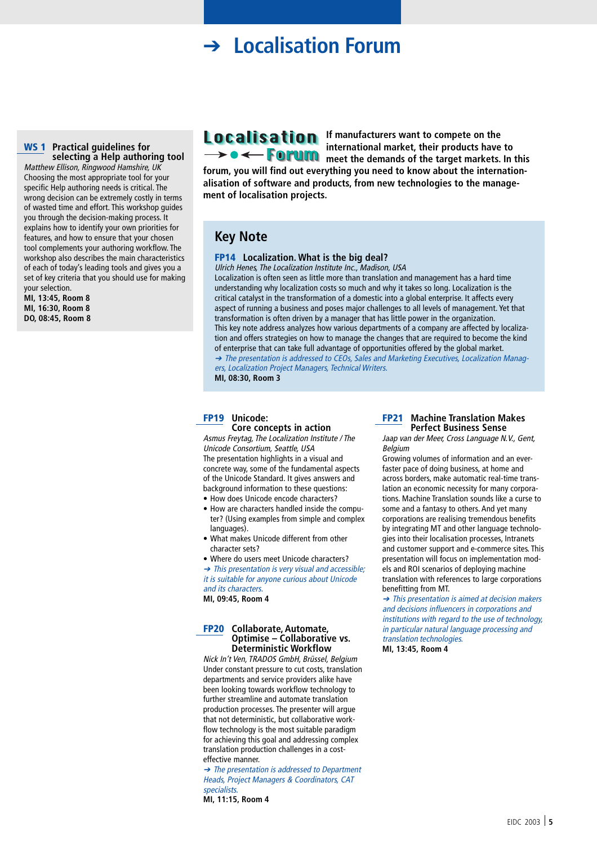### **→ Localisation Forum**

#### **WS 1 Practical guidelines for selecting a Help authoring tool**

Matthew Ellison, Ringwood Hamshire, UK Choosing the most appropriate tool for your specific Help authoring needs is critical. The wrong decision can be extremely costly in terms of wasted time and effort. This workshop guides you through the decision-making process. It explains how to identify your own priorities for features, and how to ensure that your chosen tool complements your authoring workflow. The workshop also describes the main characteristics of each of today's leading tools and gives you a set of key criteria that you should use for making your selection.

**MI, 13:45, Room 8 MI, 16:30, Room 8 DO, 08:45, Room 8**

**Localisation** If manufacturers want to compete on the **international market, their products have to EXECUTE:** meet the demands of the target markets. In this

**forum, you will find out everything you need to know about the internationalisation of software and products, from new technologies to the management of localisation projects.**

### **Key Note**

#### **FP14 Localization. What is the big deal?**

Ulrich Henes, The Localization Institute Inc., Madison, USA Localization is often seen as little more than translation and management has a hard time understanding why localization costs so much and why it takes so long. Localization is the critical catalyst in the transformation of a domestic into a global enterprise. It affects every aspect of running a business and poses major challenges to all levels of management. Yet that transformation is often driven by a manager that has little power in the organization. This key note address analyzes how various departments of a company are affected by localization and offers strategies on how to manage the changes that are required to become the kind of enterprise that can take full advantage of opportunities offered by the global market. ➔ The presentation is addressed to CEOs, Sales and Marketing Executives, Localization Managers, Localization Project Managers, Technical Writers.

**MI, 08:30, Room 3**

#### **FP19 Unicode: Core concepts in action**

Asmus Freytag, The Localization Institute / The Unicode Consortium, Seattle, USA The presentation highlights in a visual and concrete way, some of the fundamental aspects of the Unicode Standard. It gives answers and background information to these questions:

- How does Unicode encode characters?
- How are characters handled inside the computer? (Using examples from simple and complex languages).
- What makes Unicode different from other character sets?
- Where do users meet Unicode characters?

➔ This presentation is very visual and accessible; it is suitable for anyone curious about Unicode and its characters.

**MI, 09:45, Room 4**

#### **FP20 Collaborate, Automate, Optimise – Collaborative vs. Deterministic Workflow**

Nick In't Ven, TRADOS GmbH, Brüssel, Belgium Under constant pressure to cut costs, translation departments and service providers alike have been looking towards workflow technology to further streamline and automate translation production processes. The presenter will argue that not deterministic, but collaborative workflow technology is the most suitable paradigm for achieving this goal and addressing complex translation production challenges in a costeffective manner.

➔ The presentation is addressed to Department Heads, Project Managers & Coordinators, CAT specialists.

**MI, 11:15, Room 4**

#### **FP21 Machine Translation Makes Perfect Business Sense**

Jaap van der Meer, Cross Language N.V., Gent, Belgium

Growing volumes of information and an everfaster pace of doing business, at home and across borders, make automatic real-time translation an economic necessity for many corporations. Machine Translation sounds like a curse to some and a fantasy to others. And yet many corporations are realising tremendous benefits by integrating MT and other language technologies into their localisation processes, Intranets and customer support and e-commerce sites. This presentation will focus on implementation models and ROI scenarios of deploying machine translation with references to large corporations benefitting from MT.

➔ This presentation is aimed at decision makers and decisions influencers in corporations and institutions with regard to the use of technology, in particular natural language processing and translation technologies.

**MI, 13:45, Room 4**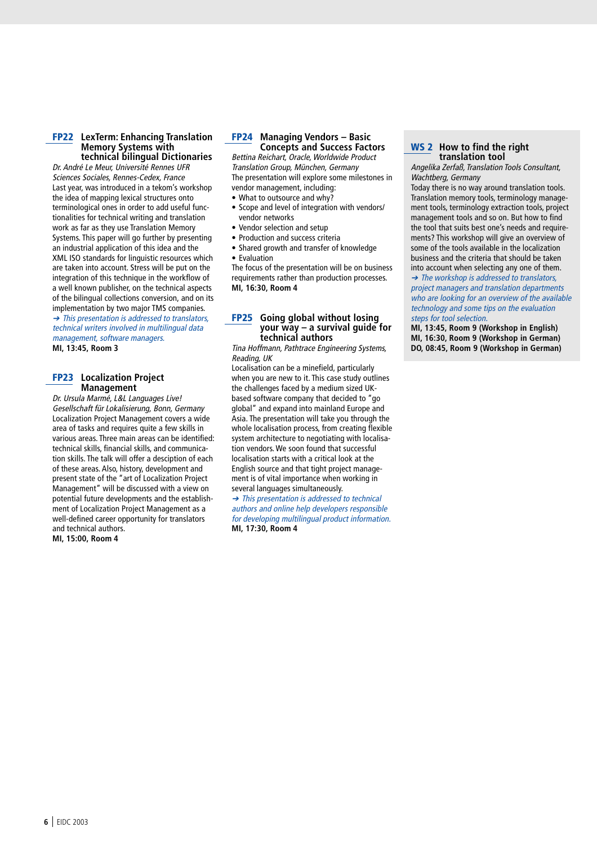#### **FP22 LexTerm: Enhancing Translation Memory Systems with technical bilingual Dictionaries**

Dr. André Le Meur, Université Rennes UFR Sciences Sociales, Rennes-Cedex, France Last year, was introduced in a tekom's workshop the idea of mapping lexical structures onto terminological ones in order to add useful functionalities for technical writing and translation work as far as they use Translation Memory Systems. This paper will go further by presenting an industrial application of this idea and the XML ISO standards for linguistic resources which are taken into account. Stress will be put on the integration of this technique in the workflow of a well known publisher, on the technical aspects of the bilingual collections conversion, and on its implementation by two major TMS companies. ➔ This presentation is addressed to translators, technical writers involved in multilingual data management, software managers.

**MI, 13:45, Room 3**

#### **FP23 Localization Project Management**

Dr. Ursula Marmé, L&L Languages Live! Gesellschaft für Lokalisierung, Bonn, Germany Localization Project Management covers a wide area of tasks and requires quite a few skills in various areas. Three main areas can be identified: technical skills, financial skills, and communication skills. The talk will offer a desciption of each of these areas. Also, history, development and present state of the "art of Localization Project Management" will be discussed with a view on potential future developments and the establishment of Localization Project Management as a well-defined career opportunity for translators and technical authors. **MI, 15:00, Room 4**

#### **FP24 Managing Vendors – Basic Concepts and Success Factors**

Bettina Reichart, Oracle, Worldwide Product Translation Group, München, Germany The presentation will explore some milestones in vendor management, including:

- What to outsource and why?
- Scope and level of integration with vendors/ vendor networks
- Vendor selection and setup
- Production and success criteria
- Shared growth and transfer of knowledge
- Evaluation

The focus of the presentation will be on business requirements rather than production processes. **MI, 16:30, Room 4**

#### **FP25 Going global without losing your way – a survival guide for technical authors**

Tina Hoffmann, Pathtrace Engineering Systems, Reading, UK

Localisation can be a minefield, particularly when you are new to it. This case study outlines the challenges faced by a medium sized UKbased software company that decided to "go global" and expand into mainland Europe and Asia. The presentation will take you through the whole localisation process, from creating flexible system architecture to negotiating with localisation vendors. We soon found that successful localisation starts with a critical look at the English source and that tight project management is of vital importance when working in several languages simultaneously.

➔ This presentation is addressed to technical authors and online help developers responsible for developing multilingual product information. **MI, 17:30, Room 4**

#### **WS 2 How to find the right translation tool**

Angelika Zerfaß, Translation Tools Consultant, Wachtberg, Germany

Today there is no way around translation tools. Translation memory tools, terminology management tools, terminology extraction tools, project management tools and so on. But how to find the tool that suits best one's needs and requirements? This workshop will give an overview of some of the tools available in the localization business and the criteria that should be taken into account when selecting any one of them.

➔ The workshop is addressed to translators, project managers and translation departments who are looking for an overview of the available technology and some tips on the evaluation steps for tool selection.

**MI, 13:45, Room 9 (Workshop in English) MI, 16:30, Room 9 (Workshop in German) DO, 08:45, Room 9 (Workshop in German)**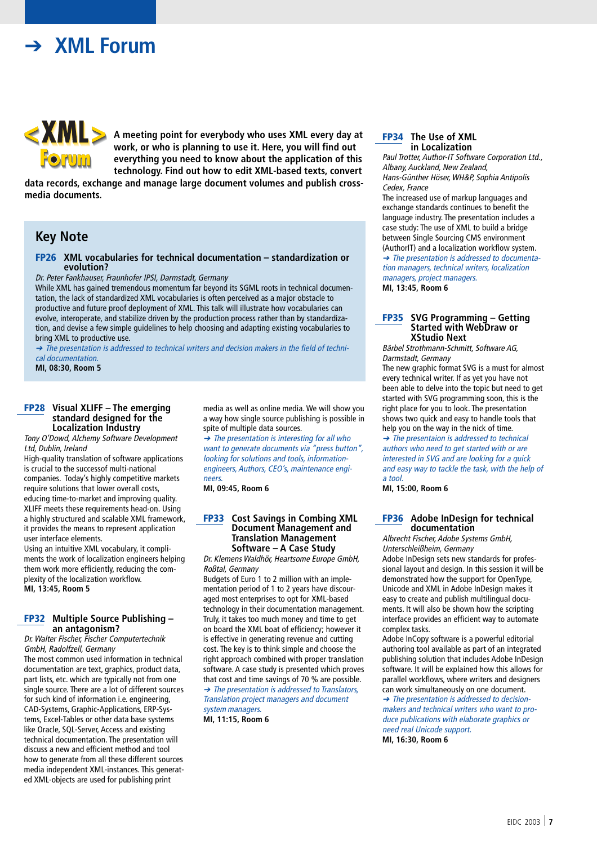### ➔ **XML Forum**



**A meeting point for everybody who uses XML every day at work, or who is planning to use it. Here, you will find out everything you need to know about the application of this technology. Find out how to edit XML-based texts, convert**

**data records, exchange and manage large document volumes and publish crossmedia documents.**

### **Key Note**

#### **FP26 XML vocabularies for technical documentation – standardization or evolution?**

Dr. Peter Fankhauser, Fraunhofer IPSI, Darmstadt, Germany

While XML has gained tremendous momentum far beyond its SGML roots in technical documentation, the lack of standardized XML vocabularies is often perceived as a major obstacle to productive and future proof deployment of XML. This talk will illustrate how vocabularies can evolve, interoperate, and stabilize driven by the production process rather than by standardization, and devise a few simple guidelines to help choosing and adapting existing vocabularies to bring XML to productive use.

➔ The presentation is addressed to technical writers and decision makers in the field of technical documentation.

**MI, 08:30, Room 5**

#### **FP28 Visual XLIFF – The emerging standard designed for the Localization Industry**

Tony O'Dowd, Alchemy Software Development Ltd, Dublin, Ireland

High-quality translation of software applications is crucial to the successof multi-national companies. Today's highly competitive markets require solutions that lower overall costs, educing time-to-market and improving quality. XLIFF meets these requirements head-on. Using a highly structured and scalable XML framework, it provides the means to represent application user interface elements.

Using an intuitive XML vocabulary, it compliments the work of localization engineers helping them work more efficiently, reducing the complexity of the localization workflow. **MI, 13:45, Room 5**

#### **FP32 Multiple Source Publishing – an antagonism?**

Dr. Walter Fischer, Fischer Computertechnik GmbH, Radolfzell, Germany

The most common used information in technical documentation are text, graphics, product data, part lists, etc. which are typically not from one single source. There are a lot of different sources for such kind of information i.e. engineering, CAD-Systems, Graphic-Applications, ERP-Systems, Excel-Tables or other data base systems like Oracle, SQL-Server, Access and existing technical documentation. The presentation will discuss a new and efficient method and tool how to generate from all these different sources media independent XML-instances. This generated XML-objects are used for publishing print

media as well as online media. We will show you a way how single source publishing is possible in spite of multiple data sources.

➔ The presentation is interesting for all who want to generate documents via "press button", looking for solutions and tools, informationengineers, Authors, CEO's, maintenance engineers.

**MI, 09:45, Room 6**

#### **FP33 Cost Savings in Combing XML Document Management and Translation Management Software – A Case Study**

Dr. Klemens Waldhör, Heartsome Europe GmbH, Roßtal, Germany

Budgets of Euro 1 to 2 million with an implementation period of 1 to 2 years have discouraged most enterprises to opt for XML-based technology in their documentation management. Truly, it takes too much money and time to get on board the XML boat of efficiency; however it is effective in generating revenue and cutting cost. The key is to think simple and choose the right approach combined with proper translation software. A case study is presented which proves that cost and time savings of 70 % are possible. ➔ The presentation is addressed to Translators, Translation project managers and document system managers.

**MI, 11:15, Room 6**

#### **FP34 The Use of XML in Localization**

Paul Trotter, Author-IT Software Corporation Ltd., Albany, Auckland, New Zealand, Hans-Günther Höser, WH&P, Sophia Antipolis Cedex, France

The increased use of markup languages and exchange standards continues to benefit the language industry. The presentation includes a case study: The use of XML to build a bridge between Single Sourcing CMS environment (AuthorIT) and a localization workflow system. ➔ The presentation is addressed to documentation managers, technical writers, localization managers, project managers. **MI, 13:45, Room 6**

#### **FP35 SVG Programming – Getting Started with WebDraw or XStudio Next**

Bärbel Strothmann-Schmitt, Software AG, Darmstadt, Germany

The new graphic format SVG is a must for almost every technical writer. If as yet you have not been able to delve into the topic but need to get started with SVG programming soon, this is the right place for you to look. The presentation shows two quick and easy to handle tools that help you on the way in the nick of time.

➔ The presentaion is addressed to technical authors who need to get started with or are interested in SVG and are looking for a quick and easy way to tackle the task, with the help of a tool.

**MI, 15:00, Room 6**

#### **FP36 Adobe InDesign for technical documentation**

Albrecht Fischer, Adobe Systems GmbH, Unterschleißheim, Germany

Adobe InDesign sets new standards for professional layout and design. In this session it will be demonstrated how the support for OpenType, Unicode and XML in Adobe InDesign makes it easy to create and publish multilingual documents. It will also be shown how the scripting interface provides an efficient way to automate complex tasks.

Adobe InCopy software is a powerful editorial authoring tool available as part of an integrated publishing solution that includes Adobe InDesign software. It will be explained how this allows for parallel workflows, where writers and designers can work simultaneously on one document.

➔ The presentation is addressed to decisionmakers and technical writers who want to produce publications with elaborate graphics or need real Unicode support.

**MI, 16:30, Room 6**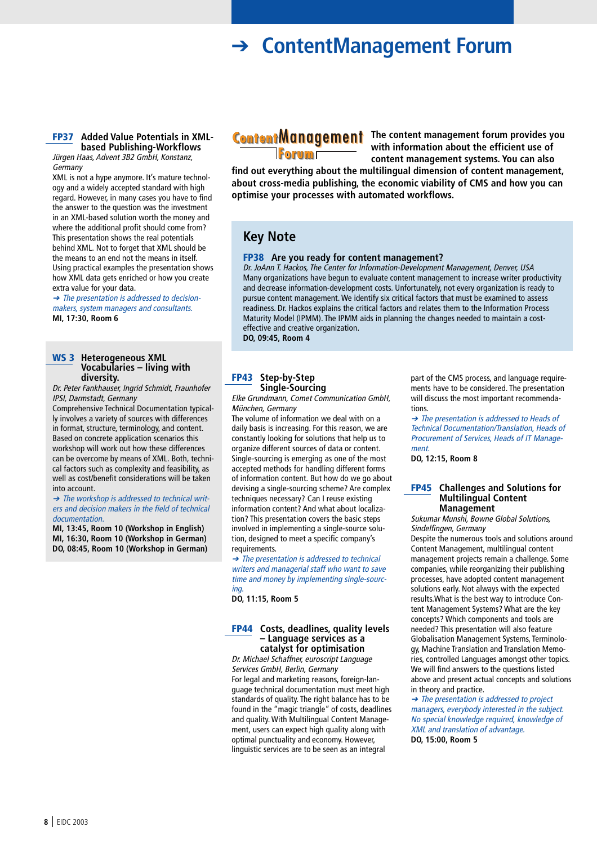### ➔ **ContentManagement Forum**

#### **FP37 Added Value Potentials in XMLbased Publishing-Workflows**

Jürgen Haas, Advent 3B2 GmbH, Konstanz, **Germany** 

XML is not a hype anymore. It's mature technology and a widely accepted standard with high regard. However, in many cases you have to find the answer to the question was the investment in an XML-based solution worth the money and where the additional profit should come from? This presentation shows the real potentials behind XML. Not to forget that XML should be the means to an end not the means in itself. Using practical examples the presentation shows how XML data gets enriched or how you create extra value for your data.

➔ The presentation is addressed to decisionmakers, system managers and consultants. **MI, 17:30, Room 6**

#### **WS 3 Heterogeneous XML Vocabularies – living with diversity.**

Dr. Peter Fankhauser, Ingrid Schmidt, Fraunhofer IPSI, Darmstadt, Germany

Comprehensive Technical Documentation typically involves a variety of sources with differences in format, structure, terminology, and content. Based on concrete application scenarios this workshop will work out how these differences can be overcome by means of XML. Both, technical factors such as complexity and feasibility, as well as cost/benefit considerations will be taken into account.

➔ The workshop is addressed to technical writers and decision makers in the field of technical documentation.

**MI, 13:45, Room 10 (Workshop in English) MI, 16:30, Room 10 (Workshop in German) DO, 08:45, Room 10 (Workshop in German)**

**Forum** 

**Content Management** The content management forum provides you **with information about the efficient use of content management systems. You can also**

**find out everything about the multilingual dimension of content management, about cross-media publishing, the economic viability of CMS and how you can optimise your processes with automated workflows.**

### **Key Note**

#### **FP38 Are you ready for content management?**

Dr. JoAnn T. Hackos, The Center for Information-Development Management, Denver, USA Many organizations have begun to evaluate content management to increase writer productivity and decrease information-development costs. Unfortunately, not every organization is ready to pursue content management. We identify six critical factors that must be examined to assess readiness. Dr. Hackos explains the critical factors and relates them to the Information Process Maturity Model (IPMM). The IPMM aids in planning the changes needed to maintain a costeffective and creative organization.

**DO, 09:45, Room 4**

#### **FP43 Step-by-Step Single-Sourcing**

Elke Grundmann, Comet Communication GmbH, München, Germany

The volume of information we deal with on a daily basis is increasing. For this reason, we are constantly looking for solutions that help us to organize different sources of data or content. Single-sourcing is emerging as one of the most accepted methods for handling different forms of information content. But how do we go about devising a single-sourcing scheme? Are complex techniques necessary? Can I reuse existing information content? And what about localization? This presentation covers the basic steps involved in implementing a single-source solution, designed to meet a specific company's requirements.

➔ The presentation is addressed to technical writers and managerial staff who want to save time and money by implementing single-sourcing.

**DO, 11:15, Room 5**

#### **FP44 Costs, deadlines, quality levels – Language services as a catalyst for optimisation**

Dr. Michael Schaffner, euroscript Language Services GmbH, Berlin, Germany For legal and marketing reasons, foreign-language technical documentation must meet high standards of quality. The right balance has to be found in the "magic triangle" of costs, deadlines and quality. With Multilingual Content Management, users can expect high quality along with optimal punctuality and economy. However, linguistic services are to be seen as an integral

part of the CMS process, and language requirements have to be considered. The presentation will discuss the most important recommendations.

➔ The presentation is addressed to Heads of Technical Documentation/Translation, Heads of Procurement of Services, Heads of IT Management.

**DO, 12:15, Room 8**

#### **FP45 Challenges and Solutions for Multilingual Content Management**

Sukumar Munshi, Bowne Global Solutions, Sindelfingen, Germany

Despite the numerous tools and solutions around Content Management, multilingual content management projects remain a challenge. Some companies, while reorganizing their publishing processes, have adopted content management solutions early. Not always with the expected results.What is the best way to introduce Content Management Systems? What are the key concepts? Which components and tools are needed? This presentation will also feature Globalisation Management Systems, Terminology, Machine Translation and Translation Memories, controlled Languages amongst other topics. We will find answers to the questions listed above and present actual concepts and solutions in theory and practice.

➔ The presentation is addressed to project managers, everybody interested in the subject. No special knowledge required, knowledge of XML and translation of advantage. **DO, 15:00, Room 5**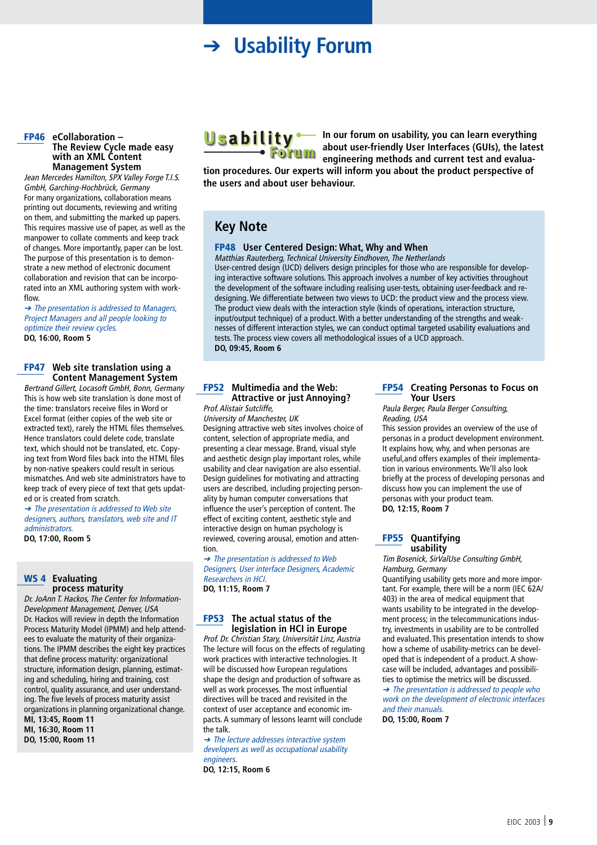### ➔ **Usability Forum**

#### **FP46 eCollaboration – The Review Cycle made easy with an XML Content Management System**

Jean Mercedes Hamilton, SPX Valley Forge T.I.S. GmbH, Garching-Hochbrück, Germany For many organizations, collaboration means printing out documents, reviewing and writing on them, and submitting the marked up papers. This requires massive use of paper, as well as the manpower to collate comments and keep track of changes. More importantly, paper can be lost. The purpose of this presentation is to demonstrate a new method of electronic document collaboration and revision that can be incorporated into an XML authoring system with workflow.

➔ The presentation is addressed to Managers, Project Managers and all people looking to optimize their review cycles. **DO, 16:00, Room 5**

#### **FP47 Web site translation using a Content Management System**

Bertrand Gillert, Locasoft GmbH, Bonn, Germany This is how web site translation is done most of the time: translators receive files in Word or Excel format (either copies of the web site or extracted text), rarely the HTML files themselves. Hence translators could delete code, translate text, which should not be translated, etc. Copying text from Word files back into the HTML files by non-native speakers could result in serious mismatches. And web site administrators have to keep track of every piece of text that gets updated or is created from scratch.

➔ The presentation is addressed to Web site designers, authors, translators, web site and IT administrators.

**DO, 17:00, Room 5**

#### **WS 4 Evaluating process maturity**

Dr. JoAnn T. Hackos, The Center for Information-Development Management, Denver, USA Dr. Hackos will review in depth the Information Process Maturity Model (IPMM) and help attendees to evaluate the maturity of their organizations. The IPMM describes the eight key practices that define process maturity: organizational structure, information design, planning, estimating and scheduling, hiring and training, cost control, quality assurance, and user understanding. The five levels of process maturity assist organizations in planning organizational change.

**MI, 13:45, Room 11 MI, 16:30, Room 11**

**DO, 15:00, Room 11**



**Usability** – In our forum on usability, you can learn everything **about user-friendly User Interfaces (GUIs), the latest engineering methods and current test and evalua-**

**tion procedures. Our experts will inform you about the product perspective of the users and about user behaviour.**

### **Key Note**

#### **FP48 User Centered Design: What, Why and When**

Matthias Rauterberg, Technical University Eindhoven, The Netherlands User-centred design (UCD) delivers design principles for those who are responsible for developing interactive software solutions. This approach involves a number of key activities throughout the development of the software including realising user-tests, obtaining user-feedback and redesigning. We differentiate between two views to UCD: the product view and the process view. The product view deals with the interaction style (kinds of operations, interaction structure, input/output technique) of a product. With a better understanding of the strengths and weaknesses of different interaction styles, we can conduct optimal targeted usability evaluations and tests. The process view covers all methodological issues of a UCD approach. **DO, 09:45, Room 6**

### **FP52 Multimedia and the Web: Attractive or just Annoying?**

### Prof. Alistair Sutcliffe,

University of Manchester, UK Designing attractive web sites involves choice of content, selection of appropriate media, and presenting a clear message. Brand, visual style and aesthetic design play important roles, while usability and clear navigation are also essential. Design guidelines for motivating and attracting users are described, including projecting personality by human computer conversations that influence the user's perception of content. The effect of exciting content, aesthetic style and interactive design on human psychology is reviewed, covering arousal, emotion and attention.

➔ The presentation is addressed to Web Designers, User interface Designers, Academic Researchers in HCI. **DO, 11:15, Room 7**

#### **FP53 The actual status of the legislation in HCI in Europe**

Prof. Dr. Christian Stary, Universität Linz, Austria The lecture will focus on the effects of regulating work practices with interactive technologies. It will be discussed how European regulations shape the design and production of software as well as work processes. The most influential directives will be traced and revisited in the context of user acceptance and economic impacts. A summary of lessons learnt will conclude the talk.

➔ The lecture addresses interactive system developers as well as occupational usability **engineers.** 

**DO, 12:15, Room 6**

#### **FP54 Creating Personas to Focus on Your Users**

Paula Berger, Paula Berger Consulting, Reading, USA

This session provides an overview of the use of personas in a product development environment. It explains how, why, and when personas are useful,and offers examples of their implementation in various environments. We'll also look briefly at the process of developing personas and discuss how you can implement the use of personas with your product team. **DO, 12:15, Room 7**

#### **FP55 Quantifying usability**

Tim Bosenick, SirValUse Consulting GmbH, Hamburg, Germany

Quantifying usability gets more and more important. For example, there will be a norm (IEC 62A/ 403) in the area of medical equipment that wants usability to be integrated in the development process; in the telecommunications industry, investments in usability are to be controlled and evaluated. This presentation intends to show how a scheme of usability-metrics can be developed that is independent of a product. A showcase will be included, advantages and possibilities to optimise the metrics will be discussed. ➔ The presentation is addressed to people who work on the development of electronic interfaces and their manuals.

**DO, 15:00, Room 7**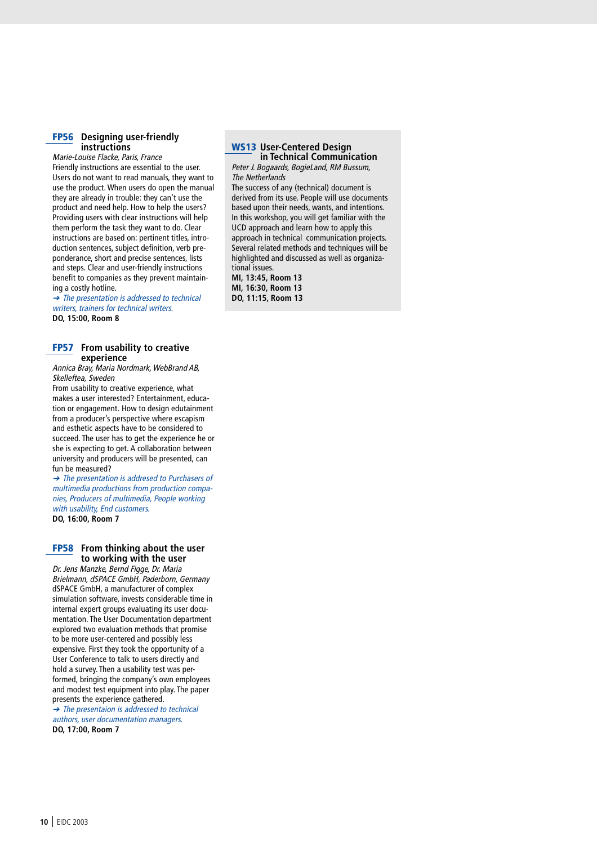#### **FP56 Designing user-friendly instructions**

Marie-Louise Flacke, Paris, France Friendly instructions are essential to the user. Users do not want to read manuals, they want to use the product. When users do open the manual they are already in trouble: they can't use the product and need help. How to help the users? Providing users with clear instructions will help them perform the task they want to do. Clear instructions are based on: pertinent titles, introduction sentences, subject definition, verb preponderance, short and precise sentences, lists and steps. Clear and user-friendly instructions benefit to companies as they prevent maintaining a costly hotline.

➔ The presentation is addressed to technical writers, trainers for technical writers. **DO, 15:00, Room 8**

#### **FP57 From usability to creative experience**

Annica Bray, Maria Nordmark, WebBrand AB, Skelleftea, Sweden

From usability to creative experience, what makes a user interested? Entertainment, education or engagement. How to design edutainment from a producer's perspective where escapism and esthetic aspects have to be considered to succeed. The user has to get the experience he or she is expecting to get. A collaboration between university and producers will be presented, can fun be measured?

➔ The presentation is addresed to Purchasers of multimedia productions from production companies, Producers of multimedia, People working with usability, End customers. **DO, 16:00, Room 7**

#### **FP58 From thinking about the user to working with the user**

Dr. Jens Manzke, Bernd Figge, Dr. Maria Brielmann, dSPACE GmbH, Paderborn, Germany dSPACE GmbH, a manufacturer of complex simulation software, invests considerable time in internal expert groups evaluating its user documentation. The User Documentation department explored two evaluation methods that promise to be more user-centered and possibly less expensive. First they took the opportunity of a User Conference to talk to users directly and hold a survey. Then a usability test was performed, bringing the company's own employees and modest test equipment into play. The paper presents the experience gathered.

➔ The presentaion is addressed to technical authors, user documentation managers. **DO, 17:00, Room 7**

#### **WS13 User-Centered Design in Technical Communication**

Peter J. Bogaards, BogieLand, RM Bussum, The Netherlands

The success of any (technical) document is derived from its use. People will use documents based upon their needs, wants, and intentions. In this workshop, you will get familiar with the UCD approach and learn how to apply this approach in technical communication projects. Several related methods and techniques will be highlighted and discussed as well as organizational issues.

**MI, 13:45, Room 13 MI, 16:30, Room 13 DO, 11:15, Room 13**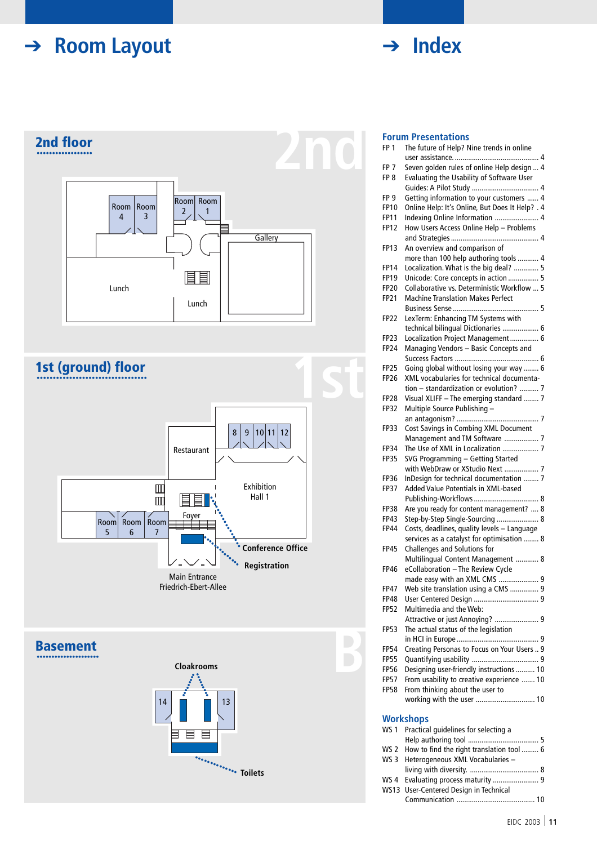# ➔ **Room Layout**









### **Forum Presentations**

| FP <sub>1</sub> | The future of Help? Nine trends in online       |  |
|-----------------|-------------------------------------------------|--|
|                 |                                                 |  |
| FP 7            | Seven golden rules of online Help design  4     |  |
|                 |                                                 |  |
| FP <sub>8</sub> | Evaluating the Usability of Software User       |  |
|                 |                                                 |  |
| FP 9            | Getting information to your customers  4        |  |
| <b>FP10</b>     | Online Help: It's Online, But Does It Help? . 4 |  |
| <b>FP11</b>     | Indexing Online Information  4                  |  |
| <b>FP12</b>     | How Users Access Online Help - Problems         |  |
|                 |                                                 |  |
|                 |                                                 |  |
| <b>FP13</b>     | An overview and comparison of                   |  |
|                 | more than 100 help authoring tools  4           |  |
| <b>FP14</b>     | Localization. What is the big deal?  5          |  |
| <b>FP19</b>     | Unicode: Core concepts in action  5             |  |
|                 |                                                 |  |
| <b>FP20</b>     | Collaborative vs. Deterministic Workflow  5     |  |
| <b>FP21</b>     | <b>Machine Translation Makes Perfect</b>        |  |
|                 |                                                 |  |
| <b>FP22</b>     | LexTerm: Enhancing TM Systems with              |  |
|                 | technical bilingual Dictionaries  6             |  |
|                 | Localization Project Management 6               |  |
| FP23            |                                                 |  |
| FP24            | Managing Vendors - Basic Concepts and           |  |
|                 |                                                 |  |
| <b>FP25</b>     | Going global without losing your way  6         |  |
| <b>FP26</b>     | XML vocabularies for technical documenta-       |  |
|                 | tion - standardization or evolution?  7         |  |
|                 |                                                 |  |
| <b>FP28</b>     | Visual XLIFF - The emerging standard  7         |  |
| <b>FP32</b>     | Multiple Source Publishing -                    |  |
|                 |                                                 |  |
| <b>FP33</b>     | Cost Savings in Combing XML Document            |  |
|                 | Management and TM Software  7                   |  |
| <b>FP34</b>     | The Use of XML in Localization  7               |  |
|                 |                                                 |  |
| <b>FP35</b>     | SVG Programming - Getting Started               |  |
|                 | with WebDraw or XStudio Next  7                 |  |
| FP36            | InDesign for technical documentation  7         |  |
| <b>FP37</b>     | Added Value Potentials in XML-based             |  |
|                 |                                                 |  |
|                 |                                                 |  |
| <b>FP38</b>     | Are you ready for content management?  8        |  |
| <b>FP43</b>     | Step-by-Step Single-Sourcing  8                 |  |
| <b>FP44</b>     | Costs, deadlines, quality levels - Language     |  |
|                 | services as a catalyst for optimisation  8      |  |
| <b>FP45</b>     | Challenges and Solutions for                    |  |
|                 |                                                 |  |
|                 | Multilingual Content Management  8              |  |
| FP46            | eCollaboration - The Review Cycle               |  |
|                 | made easy with an XML CMS  9                    |  |
| FP47            | Web site translation using a CMS  9             |  |
| FP48            |                                                 |  |
| <b>FP52</b>     | Multimedia and the Web:                         |  |
|                 |                                                 |  |
|                 | Attractive or just Annoying?  9                 |  |
| <b>FP53</b>     | The actual status of the legislation            |  |
|                 |                                                 |  |
| <b>FP54</b>     | Creating Personas to Focus on Your Users  9     |  |
| <b>FP55</b>     |                                                 |  |
|                 |                                                 |  |
| <b>FP56</b>     | Designing user-friendly instructions  10        |  |
| <b>FP57</b>     | From usability to creative experience  10       |  |
| <b>FP58</b>     | From thinking about the user to                 |  |
|                 | working with the user  10                       |  |
|                 |                                                 |  |
|                 |                                                 |  |
|                 | Workshops                                       |  |
| WS 1            | Practical guidelines for selecting a            |  |
|                 |                                                 |  |
| WS 2            | How to find the right translation tool  6       |  |
| WS <sub>3</sub> | Heterogeneous XML Vocabularies -                |  |
|                 |                                                 |  |
|                 |                                                 |  |
|                 |                                                 |  |

WS 4 Evaluating process maturity ........................ 9 WS13 User-Centered Design in Technical Communication ......................................... 10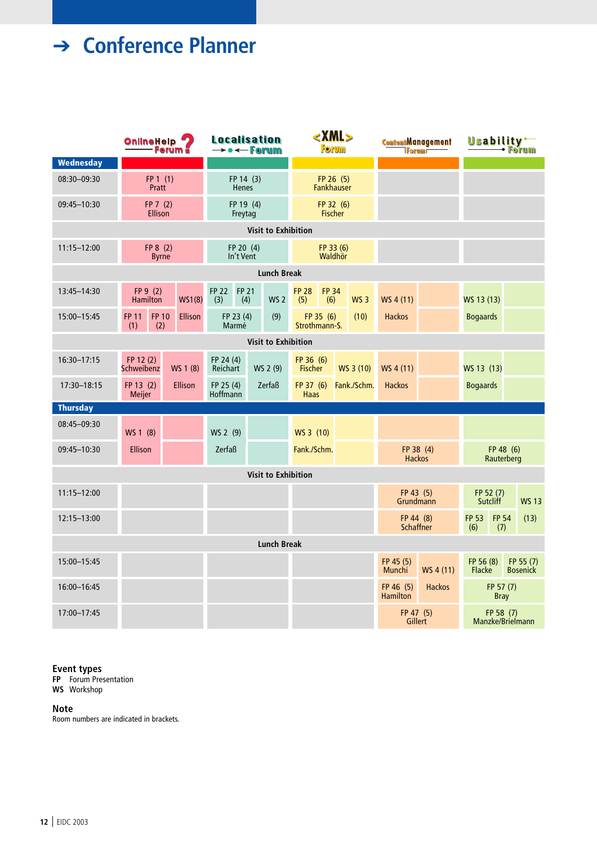# ➔ **Conference Planner**

|                            | <b>OnlineHelp</b><br><b>Forum</b>          |                          | <b>Localisation</b><br>$\rightarrow \bullet \leftarrow$ Forum |                        |                            | <xml><br/><b>Forum</b></xml>             |                                        |           |                               | <b>ContentManagement</b><br><b>TForum</b> | Usability <sup>-</sup><br>Forum |                               |                          |                              |
|----------------------------|--------------------------------------------|--------------------------|---------------------------------------------------------------|------------------------|----------------------------|------------------------------------------|----------------------------------------|-----------|-------------------------------|-------------------------------------------|---------------------------------|-------------------------------|--------------------------|------------------------------|
| Wednesday                  |                                            |                          |                                                               |                        |                            |                                          |                                        |           |                               |                                           |                                 |                               |                          |                              |
| 08:30-09:30                | FP 1(1)<br>Pratt                           |                          | FP 14 (3)<br>Henes                                            |                        |                            | FP 26 (5)<br><b>Fankhauser</b>           |                                        |           |                               |                                           |                                 |                               |                          |                              |
| 09:45-10:30                | FP 7(2)<br><b>Ellison</b>                  |                          | FP 19 (4)<br>Freytag                                          |                        |                            | FP 32 (6)<br><b>Fischer</b>              |                                        |           |                               |                                           |                                 |                               |                          |                              |
|                            |                                            |                          | <b>Visit to Exhibition</b>                                    |                        |                            |                                          |                                        |           |                               |                                           |                                 |                               |                          |                              |
| $11:15 - 12:00$            |                                            | FP 8 (2)<br><b>Byrne</b> |                                                               | FP 20 (4)<br>In't Vent |                            |                                          | FP 33 (6)<br>Waldhör                   |           |                               |                                           |                                 |                               |                          |                              |
|                            |                                            |                          |                                                               |                        | <b>Lunch Break</b>         |                                          |                                        |           |                               |                                           |                                 |                               |                          |                              |
| 13:45-14:30                | FP 9 (2)<br>Hamilton                       | <b>WS1(8)</b>            | <b>FP 22</b><br>(3)                                           | <b>FP 21</b><br>(4)    | <b>WS 2</b>                | <b>FP 28</b><br>(5)                      | <b>FP 34</b><br>(6)                    |           | <b>WS 3</b>                   | WS 4 (11)                                 |                                 | WS 13 (13)                    |                          |                              |
| 15:00-15:45                | <b>FP 11</b><br><b>FP 10</b><br>(1)<br>(2) | <b>Ellison</b>           | FP 23 (4)<br>Marmé                                            |                        | (9)                        | Strothmann-S.                            | FP 35 (6)                              | (10)      |                               | <b>Hackos</b>                             |                                 | <b>Bogaards</b>               |                          |                              |
| <b>Visit to Exhibition</b> |                                            |                          |                                                               |                        |                            |                                          |                                        |           |                               |                                           |                                 |                               |                          |                              |
| 16:30-17:15                | FP 12 (2)<br>WS 1 (8)<br>Schweibenz        |                          | FP 24 (4)<br>Reichart<br>WS 2 (9)                             |                        |                            | FP 36 (6)<br><b>Fischer</b><br>WS 3 (10) |                                        | WS 4 (11) |                               | WS 13 (13)                                |                                 |                               |                          |                              |
| 17:30-18:15                | FP 13 (2)<br>Meijer                        | <b>Ellison</b>           | FP 25 (4)<br>Hoffmann                                         |                        | Zerfaß                     |                                          | FP 37(6)<br>Fank./Schm.<br><b>Haas</b> |           | <b>Hackos</b>                 |                                           | <b>Bogaards</b>                 |                               |                          |                              |
| <b>Thursday</b>            |                                            |                          |                                                               |                        |                            |                                          |                                        |           |                               |                                           |                                 |                               |                          |                              |
| 08:45-09:30                | WS 2 (9)<br>WS 1 (8)<br>WS 3 (10)          |                          |                                                               |                        |                            |                                          |                                        |           |                               |                                           |                                 |                               |                          |                              |
| 09:45-10:30                | Ellison                                    | Zerfaß<br>Fank./Schm.    |                                                               |                        | FP 38 (4)<br><b>Hackos</b> |                                          | FP 48 (6)<br>Rauterberg                |           |                               |                                           |                                 |                               |                          |                              |
|                            |                                            |                          |                                                               |                        | <b>Visit to Exhibition</b> |                                          |                                        |           |                               |                                           |                                 |                               |                          |                              |
| $11:15 - 12:00$            |                                            |                          |                                                               |                        |                            |                                          |                                        |           |                               | FP 43 (5)<br>Grundmann                    |                                 | FP 52 (7)<br><b>Sutcliff</b>  |                          | <b>WS 13</b>                 |
| 12:15-13:00                |                                            |                          |                                                               |                        |                            |                                          |                                        |           | FP 44 (8)<br><b>Schaffner</b> |                                           | <b>FP 53</b><br>(6)             | <b>FP 54</b><br>(7)           | (13)                     |                              |
| <b>Lunch Break</b>         |                                            |                          |                                                               |                        |                            |                                          |                                        |           |                               |                                           |                                 |                               |                          |                              |
| 15:00-15:45                |                                            |                          |                                                               |                        |                            |                                          |                                        |           |                               | FP 45 (5)<br>Munchi                       | WS 4 (11)                       | FP 56 (8)<br>Flacke           |                          | FP 55 (7)<br><b>Bosenick</b> |
| 16:00-16:45                |                                            |                          |                                                               |                        |                            |                                          |                                        |           |                               | FP 46 (5)<br><b>Hamilton</b>              | <b>Hackos</b>                   |                               | FP 57 (7)<br><b>Bray</b> |                              |
| 17:00-17:45                |                                            |                          |                                                               |                        |                            |                                          |                                        |           | FP 47 (5)<br>Gillert          |                                           |                                 | FP 58 (7)<br>Manzke/Brielmann |                          |                              |

**Event types**

**FP** Forum Presentation **WS** Workshop

#### **Note**

Room numbers are indicated in brackets.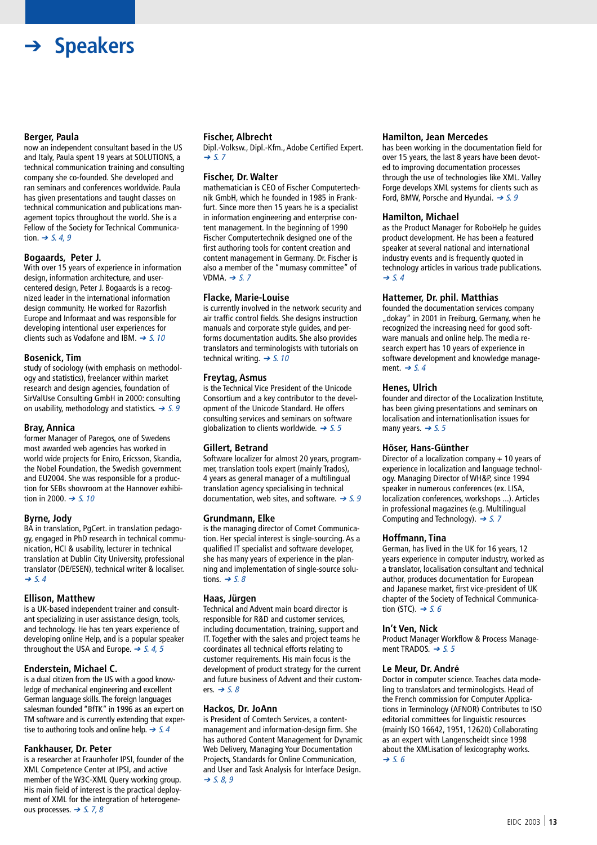## ➔ **Speakers**

#### **Berger, Paula**

now an independent consultant based in the US and Italy, Paula spent 19 years at SOLUTIONS, a technical communication training and consulting company she co-founded. She developed and ran seminars and conferences worldwide. Paula has given presentations and taught classes on technical communication and publications management topics throughout the world. She is a Fellow of the Society for Technical Communication.  $\rightarrow$  S. 4, 9

#### **Bogaards, Peter J.**

With over 15 years of experience in information design, information architecture, and usercentered design, Peter J. Bogaards is a recognized leader in the international information design community. He worked for Razorfish Europe and Informaat and was responsible for developing intentional user experiences for clients such as Vodafone and IBM.  $\rightarrow$  S. 10

#### **Bosenick, Tim**

study of sociology (with emphasis on methodology and statistics), freelancer within market research and design agencies, foundation of SirValUse Consulting GmbH in 2000: consulting on usability, methodology and statistics.  $\rightarrow$  5.9

#### **Bray, Annica**

former Manager of Paregos, one of Swedens most awarded web agencies has worked in world wide projects for Eniro, Ericsson, Skandia, the Nobel Foundation, the Swedish government and EU2004. She was responsible for a production for SEBs showroom at the Hannover exhibition in 2000. ➔ S. 10

#### **Byrne, Jody**

BA in translation, PgCert. in translation pedagogy, engaged in PhD research in technical communication, HCI & usability, lecturer in technical translation at Dublin City University, professional translator (DE/ESEN), technical writer & localiser.  $\rightarrow$  S. 4

#### **Ellison, Matthew**

is a UK-based independent trainer and consultant specializing in user assistance design, tools, and technology. He has ten years experience of developing online Help, and is a popular speaker throughout the USA and Europe.  $\rightarrow$  S. 4, 5

#### **Enderstein, Michael C.**

is a dual citizen from the US with a good knowledge of mechanical engineering and excellent German language skills. The foreign languages salesman founded "BfTK" in 1996 as an expert on TM software and is currently extending that expertise to authoring tools and online help.  $\rightarrow$  S. 4

### **Fankhauser, Dr. Peter**

is a researcher at Fraunhofer IPSI, founder of the XML Competence Center at IPSI, and active member of the W3C-XML Query working group. His main field of interest is the practical deployment of XML for the integration of heterogeneous processes.  $\rightarrow$  S. 7, 8

#### **Fischer, Albrecht**

Dipl.-Volksw., Dipl.-Kfm., Adobe Certified Expert.  $\rightarrow$  S. 7

#### **Fischer, Dr. Walter**

mathematician is CEO of Fischer Computertechnik GmbH, which he founded in 1985 in Frankfurt. Since more then 15 years he is a specialist in information engineering and enterprise content management. In the beginning of 1990 Fischer Computertechnik designed one of the first authoring tools for content creation and content management in Germany. Dr. Fischer is also a member of the "mumasy committee" of VDMA.  $\rightarrow$  S. 7

#### **Flacke, Marie-Louise**

is currently involved in the network security and air traffic control fields. She designs instruction manuals and corporate style guides, and performs documentation audits. She also provides translators and terminologists with tutorials on technical writing.  $\rightarrow$  S. 10

#### **Freytag, Asmus**

is the Technical Vice President of the Unicode Consortium and a key contributor to the development of the Unicode Standard. He offers consulting services and seminars on software globalization to clients worldwide.  $\rightarrow$  S. 5

### **Gillert, Betrand**

Software localizer for almost 20 years, programmer, translation tools expert (mainly Trados), 4 years as general manager of a multilingual translation agency specialising in technical documentation, web sites, and software.  $\rightarrow$  5.9

### **Grundmann, Elke**

is the managing director of Comet Communication. Her special interest is single-sourcing. As a qualified IT specialist and software developer, she has many years of experience in the planning and implementation of single-source solutions.  $\rightarrow$  5.8

#### **Haas, Jürgen**

Technical and Advent main board director is responsible for R&D and customer services, including documentation, training, support and IT. Together with the sales and project teams he coordinates all technical efforts relating to customer requirements. His main focus is the development of product strategy for the current and future business of Advent and their customers.  $\rightarrow$  S. 8

#### **Hackos, Dr. JoAnn**

is President of Comtech Services, a contentmanagement and information-design firm. She has authored Content Management for Dynamic Web Delivery, Managing Your Documentation Projects, Standards for Online Communication, and User and Task Analysis for Interface Design.  $\rightarrow$  5.8,9

#### **Hamilton, Jean Mercedes**

has been working in the documentation field for over 15 years, the last 8 years have been devoted to improving documentation processes through the use of technologies like XML. Valley Forge develops XML systems for clients such as Ford, BMW, Porsche and Hyundai.  $\rightarrow$  S. 9

#### **Hamilton, Michael**

as the Product Manager for RoboHelp he guides product development. He has been a featured speaker at several national and international industry events and is frequently quoted in technology articles in various trade publications.  $\rightarrow$  S. 4

#### **Hattemer, Dr. phil. Matthias**

founded the documentation services company "dokay" in 2001 in Freiburg, Germany, when he recognized the increasing need for good software manuals and online help. The media research expert has 10 years of experience in software development and knowledge management.  $\rightarrow$  5.4

#### **Henes, Ulrich**

founder and director of the Localization Institute, has been giving presentations and seminars on localisation and internationlisation issues for many years.  $\rightarrow$  S. 5

#### **Höser, Hans-Günther**

Director of a localization company + 10 years of experience in localization and language technology. Managing Director of WH&P, since 1994 speaker in numerous conferences (ex. LISA, localization conferences, workshops ...). Articles in professional magazines (e.g. Multilingual Computing and Technology).  $\rightarrow$  S. 7

### **Hoffmann, Tina**

German, has lived in the UK for 16 years, 12 years experience in computer industry, worked as a translator, localisation consultant and technical author, produces documentation for European and Japanese market, first vice-president of UK chapter of the Society of Technical Communication (STC).  $\rightarrow$  5.6

#### **In't Ven, Nick**

Product Manager Workflow & Process Management TRADOS. ➔ S. 5

#### **Le Meur, Dr. André**

Doctor in computer science. Teaches data modeling to translators and terminologists. Head of the French commission for Computer Applications in Terminology (AFNOR) Contributes to ISO editorial committees for linguistic resources (mainly ISO 16642, 1951, 12620) Collaborating as an expert with Langenscheidt since 1998 about the XMLisation of lexicography works.  $\rightarrow$  S. 6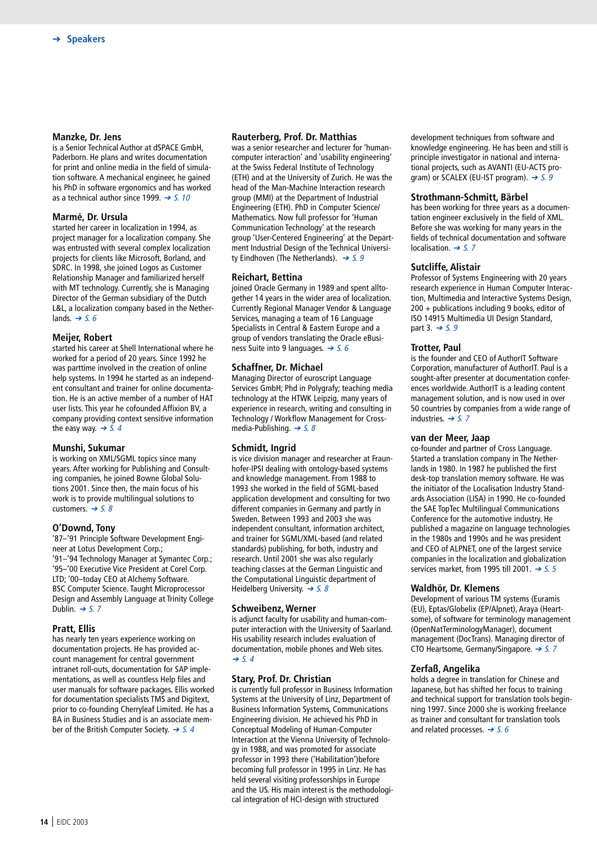#### **Manzke, Dr. Jens**

is a Senior Technical Author at dSPACE GmbH, Paderborn. He plans and writes documentation for print and online media in the field of simulation software. A mechanical engineer, he gained his PhD in software ergonomics and has worked as a technical author since 1999.  $\rightarrow$  S. 10

#### **Marmé, Dr. Ursula**

started her career in localization in 1994, as project manager for a localization company. She was entrusted with several complex localization projects for clients like Microsoft, Borland, and SDRC. In 1998, she joined Logos as Customer Relationship Manager and familiarized herself with MT technology. Currently, she is Managing Director of the German subsidiary of the Dutch L&L, a localization company based in the Netherlands.  $\rightarrow$  S. 6

#### **Meijer, Robert**

started his career at Shell International where he worked for a period of 20 years. Since 1992 he was parttime involved in the creation of online help systems. In 1994 he started as an independent consultant and trainer for online documentation. He is an active member of a number of HAT user lists. This year he cofounded Affixion BV, a company providing context sensitive information the easy way.  $\rightarrow$  5.4

#### **Munshi, Sukumar**

is working on XML/SGML topics since many years. After working for Publishing and Consulting companies, he joined Bowne Global Solutions 2001. Since then, the main focus of his work is to provide multilingual solutions to customers.  $\rightarrow$  S. 8

#### **O'Downd, Tony**

'87–'91 Principle Software Development Engineer at Lotus Development Corp.; '91–'94 Technology Manager at Symantec Corp.; '95–'00 Executive Vice President at Corel Corp. LTD; '00–today CEO at Alchemy Software. BSC Computer Science. Taught Microprocessor Design and Assembly Language at Trinity College Dublin.  $\rightarrow$  5.7

#### **Pratt, Ellis**

has nearly ten years experience working on documentation projects. He has provided account management for central government intranet roll-outs, documentation for SAP implementations, as well as countless Help files and user manuals for software packages. Ellis worked for documentation specialists TMS and Digitext, prior to co-founding Cherryleaf Limited. He has a BA in Business Studies and is an associate member of the British Computer Society.  $\rightarrow$  S. 4

#### **Rauterberg, Prof. Dr. Matthias**

was a senior researcher and lecturer for 'humancomputer interaction' and 'usability engineering' at the Swiss Federal Institute of Technology (ETH) and at the University of Zurich. He was the head of the Man-Machine Interaction research group (MMI) at the Department of Industrial Engineering (ETH). PhD in Computer Science/ Mathematics. Now full professor for 'Human Communication Technology' at the research group 'User-Centered Engineering' at the Department Industrial Design of the Technical University Eindhoven (The Netherlands).  $\rightarrow$  S. 9

#### **Reichart, Bettina**

joined Oracle Germany in 1989 and spent alltogether 14 years in the wider area of localization. Currently Regional Manager Vendor & Language Services, managing a team of 16 Language Specialists in Central & Eastern Europe and a group of vendors translating the Oracle eBusiness Suite into 9 languages.  $\rightarrow$  5.6

#### **Schaffner, Dr. Michael**

Managing Director of euroscript Language Services GmbH; Phd in Polygrafy; teaching media technology at the HTWK Leipzig, many years of experience in research, writing and consulting in Technology / Workflow Management for Crossmedia-Publishing.  $\rightarrow$  S. 8

#### **Schmidt, Ingrid**

is vice division manager and researcher at Fraunhofer-IPSI dealing with ontology-based systems and knowledge management. From 1988 to 1993 she worked in the field of SGML-based application development and consulting for two different companies in Germany and partly in Sweden. Between 1993 and 2003 she was independent consultant, information architect, and trainer for SGML/XML-based (and related standards) publishing, for both, industry and research. Until 2001 she was also regularly teaching classes at the German Linguistic and the Computational Linguistic department of Heidelberg University.  $\rightarrow$  S. 8

#### **Schweibenz, Werner**

is adjunct faculty for usability and human-computer interaction with the University of Saarland. His usability research includes evaluation of documentation, mobile phones and Web sites.  $\rightarrow$  S. 4

#### **Stary, Prof. Dr. Christian**

is currently full professor in Business Information Systems at the University of Linz, Department of Business Information Systems, Communications Engineering division. He achieved his PhD in Conceptual Modeling of Human-Computer Interaction at the Vienna University of Technology in 1988, and was promoted for associate professor in 1993 there ('Habilitation')before becoming full professor in 1995 in Linz. He has held several visiting professorships in Europe and the US. His main interest is the methodological integration of HCI-design with structured

development techniques from software and knowledge engineering. He has been and still is principle investigator in national and international projects, such as AVANTI (EU-ACTS program) or SCALEX (EU-IST program).  $\rightarrow$  5.9

#### **Strothmann-Schmitt, Bärbel**

has been working for three years as a documentation engineer exclusively in the field of XML. Before she was working for many years in the fields of technical documentation and software localisation. ➔ S. <sup>7</sup>

#### **Sutcliffe, Alistair**

Professor of Systems Engineering with 20 years research experience in Human Computer Interaction, Multimedia and Interactive Systems Design, 200 + publications including 9 books, editor of ISO 14915 Multimedia UI Design Standard, part 3.  $\rightarrow$  5.9

#### **Trotter, Paul**

is the founder and CEO of AuthorIT Software Corporation, manufacturer of AuthorIT. Paul is a sought-after presenter at documentation conferences worldwide. AuthorIT is a leading content management solution, and is now used in over 50 countries by companies from a wide range of industries.  $\rightarrow$  S. 7

#### **van der Meer, Jaap**

co-founder and partner of Cross Language. Started a translation company in The Netherlands in 1980. In 1987 he published the first desk-top translation memory software. He was the initiator of the Localisation Industry Standards Association (LISA) in 1990. He co-founded the SAE TopTec Multilingual Communications Conference for the automotive industry. He published a magazine on language technologies in the 1980s and 1990s and he was president and CEO of ALPNET, one of the largest service companies in the localization and globalization services market, from 1995 till 2001.  $\rightarrow$  S. 5

#### **Waldhör, Dr. Klemens**

Development of various TM systems (Euramis (EU), Eptas/Globelix (EP/Alpnet), Araya (Heartsome), of software for terminology management (OpenNatTerminologyManager), document management (DocTrans). Managing director of CTO Heartsome, Germany/Singapore. ➔ S. <sup>7</sup>

#### **Zerfaß, Angelika**

holds a degree in translation for Chinese and Japanese, but has shifted her focus to training and technical support for translation tools beginning 1997. Since 2000 she is working freelance as trainer and consultant for translation tools and related processes.  $\rightarrow$  5.6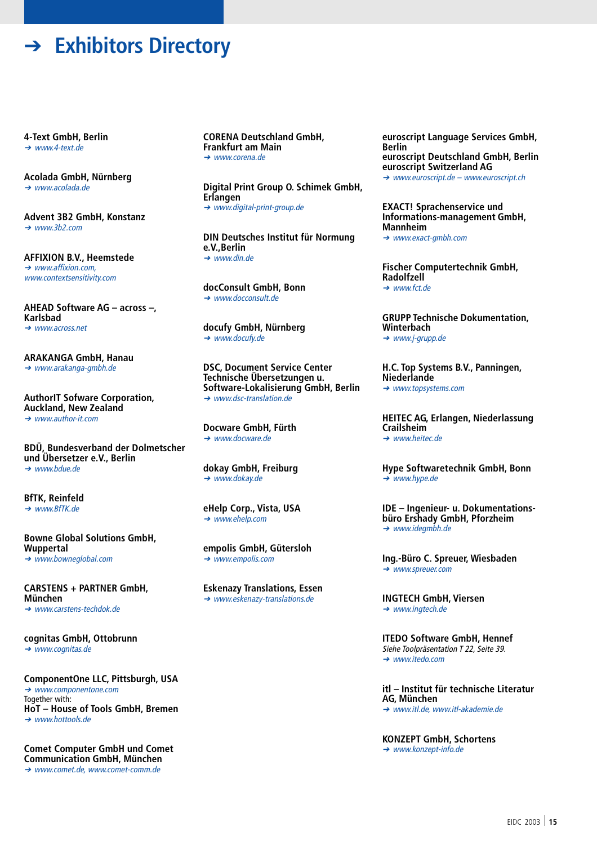➔ **Exhibitors Directory**

**4-Text GmbH, Berlin** ➔ www.4-text.de

**Acolada GmbH, Nürnberg** ➔ www.acolada.de

**Advent 3B2 GmbH, Konstanz** ➔ www.3b2.com

**AFFIXION B.V., Heemstede** ➔ www.affixion.com, www.contextsensitivity.com

**AHEAD Software AG – across –, Karlsbad** ➔ www.across.net

**ARAKANGA GmbH, Hanau** ➔ www.arakanga-gmbh.de

**AuthorIT Sofware Corporation, Auckland, New Zealand**  $\rightarrow$  www.author-it.com

**BDÜ, Bundesverband der Dolmetscher und Übersetzer e.V., Berlin** ➔ www.bdue.de

**BfTK, Reinfeld** ➔ www.BfTK.de

**Bowne Global Solutions GmbH, Wuppertal** ➔ www.bowneglobal.com

**CARSTENS + PARTNER GmbH, München** ➔ www.carstens-techdok.de

**cognitas GmbH, Ottobrunn** ➔ www.cognitas.de

**ComponentOne LLC, Pittsburgh, USA** ➔ www.componentone.com Together with: **HoT – House of Tools GmbH, Bremen** ➔ www.hottools.de

**Comet Computer GmbH und Comet Communication GmbH, München** ➔ www.comet.de, www.comet-comm.de

**CORENA Deutschland GmbH, Frankfurt am Main** ➔ www.corena.de

**Digital Print Group O. Schimek GmbH, Erlangen** ➔ www.digital-print-group.de

**DIN Deutsches Institut für Normung e.V.,Berlin** ➔ www.din.de

**docConsult GmbH, Bonn** ➔ www.docconsult.de

**docufy GmbH, Nürnberg** ➔ www.docufy.de

**DSC, Document Service Center Technische Übersetzungen u. Software-Lokalisierung GmbH, Berlin** ➔ www.dsc-translation.de

**Docware GmbH, Fürth** ➔ www.docware.de

**dokay GmbH, Freiburg** ➔ www.dokay.de

**eHelp Corp., Vista, USA** ➔ www.ehelp.com

**empolis GmbH, Gütersloh** ➔ www.empolis.com

**Eskenazy Translations, Essen** ➔ www.eskenazy-translations.de

**euroscript Language Services GmbH, Berlin euroscript Deutschland GmbH, Berlin euroscript Switzerland AG** ➔ www.euroscript.de – www.euroscript.ch

**EXACT! Sprachenservice und Informations-management GmbH, Mannheim** ➔ www.exact-gmbh.com

**Fischer Computertechnik GmbH, Radolfzell** ➔ www.fct.de

**GRUPP Technische Dokumentation, Winterbach** ➔ www.j-grupp.de

**H.C. Top Systems B.V., Panningen, Niederlande** ➔ www.topsystems.com

**HEITEC AG, Erlangen, Niederlassung Crailsheim** ➔ www.heitec.de

**Hype Softwaretechnik GmbH, Bonn** ➔ www.hype.de

**IDE – Ingenieur- u. Dokumentationsbüro Ershady GmbH, Pforzheim** ➔ www.idegmbh.de

**Ing.-Büro C. Spreuer, Wiesbaden** ➔ www.spreuer.com

**INGTECH GmbH, Viersen** ➔ www.ingtech.de

**ITEDO Software GmbH, Hennef** Siehe Toolpräsentation T 22, Seite 39. ➔ www.itedo.com

**itl – Institut für technische Literatur AG, München**

➔ www.itl.de, www.itl-akademie.de

**KONZEPT GmbH, Schortens**

➔ www.konzept-info.de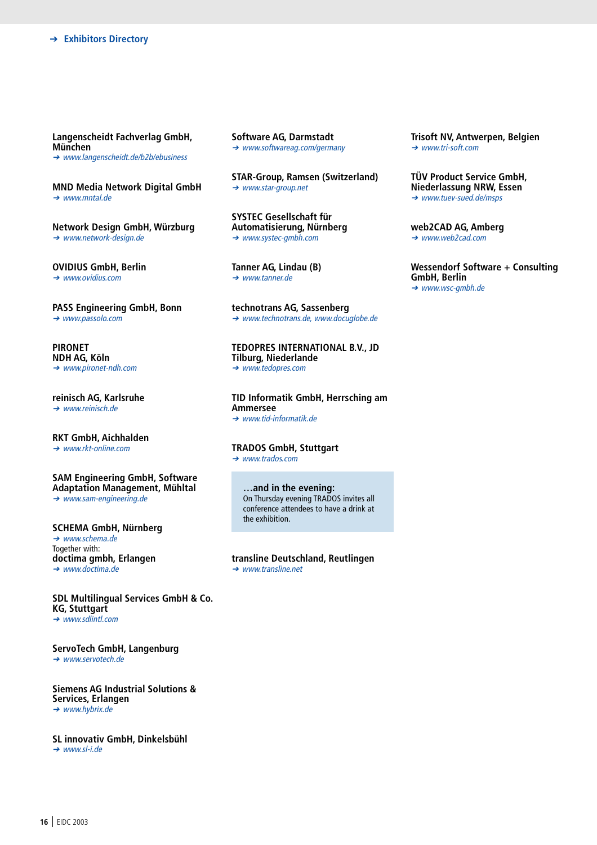**Langenscheidt Fachverlag GmbH, München** ➔ www.langenscheidt.de/b2b/ebusiness

**MND Media Network Digital GmbH** ➔ www.mntal.de

**Network Design GmbH, Würzburg** ➔ www.network-design.de

**OVIDIUS GmbH, Berlin** ➔ www.ovidius.com

**PASS Engineering GmbH, Bonn** ➔ www.passolo.com

**PIRONET NDH AG, Köln** ➔ www.pironet-ndh.com

**reinisch AG, Karlsruhe** ➔ www.reinisch.de

**RKT GmbH, Aichhalden** ➔ www.rkt-online.com

### **SAM Engineering GmbH, Software Adaptation Management, Mühltal**

➔ www.sam-engineering.de

**SCHEMA GmbH, Nürnberg** ➔ www.schema.de Together with: **doctima gmbh, Erlangen** ➔ www.doctima.de

**SDL Multilingual Services GmbH & Co. KG, Stuttgart** ➔ www.sdlintl.com

**ServoTech GmbH, Langenburg** ➔ www.servotech.de

**Siemens AG Industrial Solutions & Services, Erlangen** ➔ www.hybrix.de

**SL innovativ GmbH, Dinkelsbühl** ➔ www.sl-i.de

**Software AG, Darmstadt** ➔ www.softwareag.com/germany

**STAR-Group, Ramsen (Switzerland)** ➔ www.star-group.net

**SYSTEC Gesellschaft für Automatisierung, Nürnberg** ➔ www.systec-gmbh.com

**Tanner AG, Lindau (B)** ➔ www.tanner.de

**technotrans AG, Sassenberg** ➔ www.technotrans.de, www.docuglobe.de

**TEDOPRES INTERNATIONAL B.V., JD Tilburg, Niederlande** ➔ www.tedopres.com

**TID Informatik GmbH, Herrsching am Ammersee** ➔ www.tid-informatik.de

**TRADOS GmbH, Stuttgart** ➔ www.trados.com

> **…and in the evening:** On Thursday evening TRADOS invites all conference attendees to have a drink at the exhibition.

**transline Deutschland, Reutlingen** ➔ www.transline.net

**Trisoft NV, Antwerpen, Belgien** ➔ www.tri-soft.com

**TÜV Product Service GmbH, Niederlassung NRW, Essen** ➔ www.tuev-sued.de/msps

**web2CAD AG, Amberg** ➔ www.web2cad.com

**Wessendorf Software + Consulting GmbH, Berlin** ➔ www.wsc-gmbh.de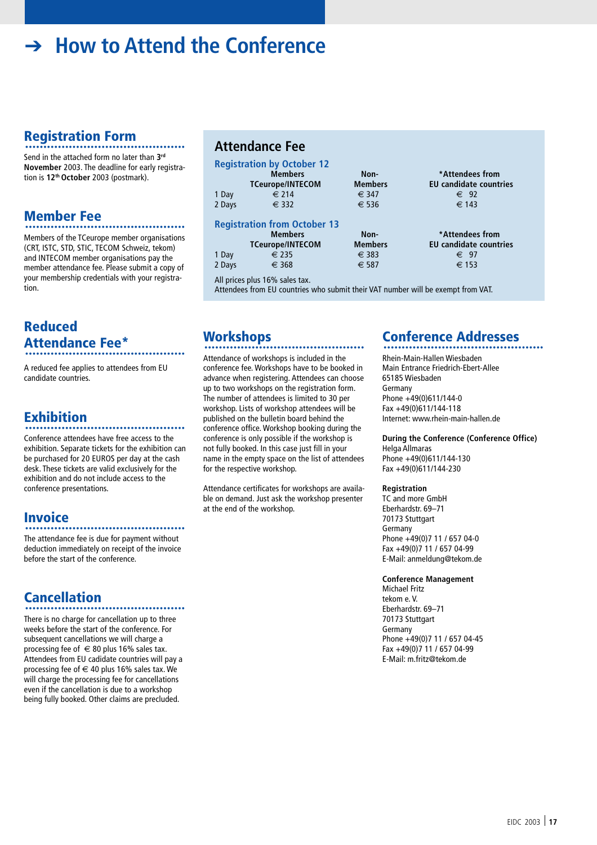# ➔ **How to Attend the Conference**

### **Registration Form**

Send in the attached form no later than **3rd November** 2003. The deadline for early registration is **12th October** 2003 (postmark).

## **Member Fee** ............................................

Members of the TCeurope member organisations (CRT, ISTC, STD, STIC, TECOM Schweiz, tekom) and INTECOM member organisations pay the member attendance fee. Please submit a copy of your membership credentials with your registration.

### **Reduced Attendance Fee\*** ............................................

A reduced fee applies to attendees from EU candidate countries.

# **Exhibition** ............................................

Conference attendees have free access to the exhibition. Separate tickets for the exhibition can be purchased for 20 EUROS per day at the cash desk. These tickets are valid exclusively for the exhibition and do not include access to the conference presentations.

### **Invoice**

#### ............................................

The attendance fee is due for payment without deduction immediately on receipt of the invoice before the start of the conference.

**Cancellation** ............................................

There is no charge for cancellation up to three weeks before the start of the conference. For subsequent cancellations we will charge a processing fee of  $\in$  80 plus 16% sales tax. Attendees from EU cadidate countries will pay a processing fee of  $\in$  40 plus 16% sales tax. We will charge the processing fee for cancellations even if the cancellation is due to a workshop being fully booked. Other claims are precluded.

### **Attendance Fee**

|        | <b>Registration by October 12</b>   |                |                               |
|--------|-------------------------------------|----------------|-------------------------------|
|        | <b>Members</b>                      | Non-           | *Attendees from               |
|        | <b>TCeurope/INTECOM</b>             | <b>Members</b> | <b>EU</b> candidate countries |
| 1 Day  | € 214                               | € 347          | $\epsilon$ 92                 |
| 2 Days | $\epsilon$ 332                      | $\epsilon$ 536 | $\epsilon$ 143                |
|        | <b>Registration from October 13</b> |                |                               |
|        | <b>Members</b>                      | Non-           | *Attendees from               |
|        | <b>TCeurope/INTECOM</b>             | <b>Members</b> | <b>EU</b> candidate countries |
| 1 Day  | $\epsilon$ 235                      | $\epsilon$ 383 | € 97                          |
| 2 Days | $\epsilon$ 368                      | € 587          | € 153                         |
|        | All prices plus 16% sales tax.      |                |                               |

Attendees from EU countries who submit their VAT number will be exempt from VAT.

## **Workshops** ............................................

Attendance of workshops is included in the conference fee. Workshops have to be booked in advance when registering. Attendees can choose up to two workshops on the registration form. The number of attendees is limited to 30 per workshop. Lists of workshop attendees will be published on the bulletin board behind the conference office. Workshop booking during the conference is only possible if the workshop is not fully booked. In this case just fill in your name in the empty space on the list of attendees for the respective workshop.

Attendance certificates for workshops are available on demand. Just ask the workshop presenter at the end of the workshop.

# **Conference Addresses** ............................................

Rhein-Main-Hallen Wiesbaden Main Entrance Friedrich-Ebert-Allee 65185 Wiesbaden Germany Phone +49(0)611/144-0 Fax +49(0)611/144-118 Internet: www.rhein-main-hallen.de

**During the Conference (Conference Office)** Helga Allmaras Phone +49(0)611/144-130 Fax +49(0)611/144-230

#### **Registration**

TC and more GmbH Eberhardstr. 69–71 70173 Stuttgart Germany Phone +49(0)7 11 / 657 04-0 Fax +49(0)7 11 / 657 04-99 E-Mail: anmeldung@tekom.de

#### **Conference Management**

Michael Fritz tekom e. V. Eberhardstr. 69–71 70173 Stuttgart Germany Phone +49(0)7 11 / 657 04-45 Fax +49(0)7 11 / 657 04-99 E-Mail: m.fritz@tekom.de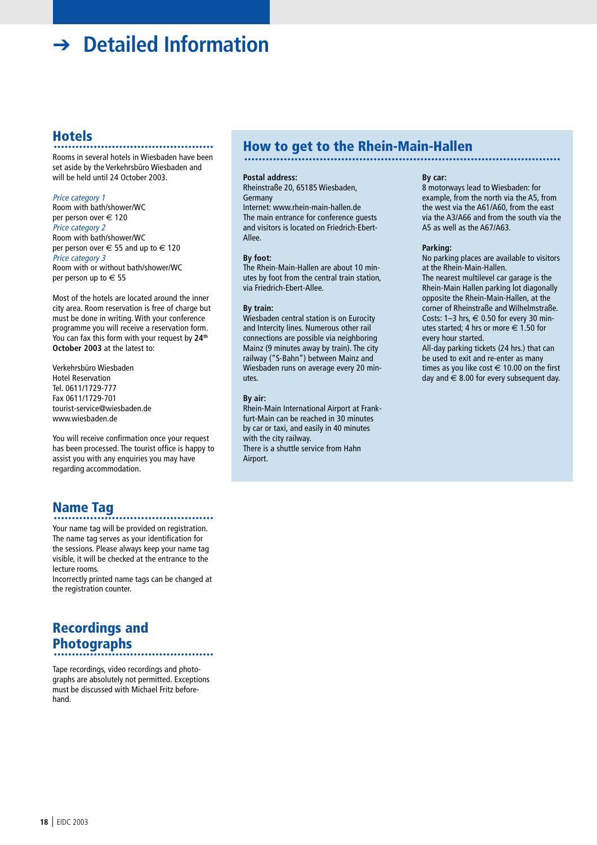# ➔ **Detailed Information**

**Hotels** ............................................ Rooms in several hotels in Wiesbaden have been set aside by the Verkehrsbüro Wiesbaden and will be held until 24 October 2003.

#### Price category 1

Room with bath/shower/WC per person over € 120 Price category 2 Room with bath/shower/WC per person over  $\in$  55 and up to  $\in$  120 Price category 3 Room with or without bath/shower/WC per person up to € 55

Most of the hotels are located around the inner city area. Room reservation is free of charge but must be done in writing. With your conference programme you will receive a reservation form. You can fax this form with your request by **24th October 2003** at the latest to:

Verkehrsbüro Wiesbaden Hotel Reservation Tel. 0611/1729-777 Fax 0611/1729-701 tourist-service@wiesbaden.de www.wiesbaden.de

You will receive confirmation once your request has been processed. The tourist office is happy to assist you with any enquiries you may have regarding accommodation.

## **Name Tag** ............................................

Your name tag will be provided on registration. The name tag serves as your identification for the sessions. Please always keep your name tag visible, it will be checked at the entrance to the lecture rooms.

Incorrectly printed name tags can be changed at the registration counter.

### **Recordings and Photographs** ............................................

Tape recordings, video recordings and photographs are absolutely not permitted. Exceptions must be discussed with Michael Fritz beforehand.

# **How to get to the Rhein-Main-Hallen** ........................................................................................

#### **Postal address:**

Rheinstraße 20, 65185 Wiesbaden, Germany

Internet: www.rhein-main-hallen.de The main entrance for conference guests and visitors is located on Friedrich-Ebert-Allee.

#### **By foot:**

The Rhein-Main-Hallen are about 10 minutes by foot from the central train station, via Friedrich-Ebert-Allee.

#### **By train:**

Wiesbaden central station is on Eurocity and Intercity lines. Numerous other rail connections are possible via neighboring Mainz (9 minutes away by train). The city railway ("S-Bahn") between Mainz and Wiesbaden runs on average every 20 minutes.

#### **By air:**

Rhein-Main International Airport at Frankfurt-Main can be reached in 30 minutes by car or taxi, and easily in 40 minutes with the city railway. There is a shuttle service from Hahn Airport.

#### **By car:**

8 motorways lead to Wiesbaden: for example, from the north via the A5, from the west via the A61/A60, from the east via the A3/A66 and from the south via the A5 as well as the A67/A63.

#### **Parking:**

No parking places are available to visitors at the Rhein-Main-Hallen.

The nearest multilevel car garage is the Rhein-Main Hallen parking lot diagonally opposite the Rhein-Main-Hallen, at the corner of Rheinstraße and Wilhelmstraße. Costs: 1-3 hrs,  $\in$  0.50 for every 30 minutes started; 4 hrs or more  $\in$  1.50 for every hour started.

All-day parking tickets (24 hrs.) that can be used to exit and re-enter as many times as you like cost  $\in$  10.00 on the first day and  $\epsilon$  8.00 for every subsequent day.